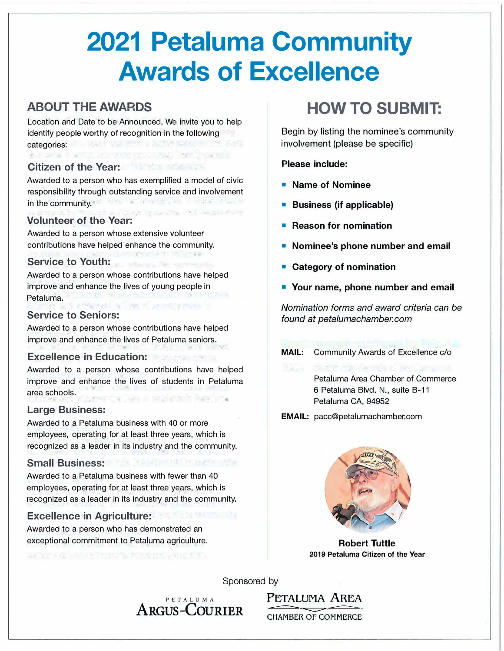# **2021 Petaluma Community Awards of Excellence**

## **ABOUT THE AWARDS**

Location and Date to be Announced, We invite you to help identify people worthy of recognition in the following categories: Williams II Wellston of Authorities II Service

#### **Citizen of the Year:**

Awarded to a person who has exemplified a model of civic responsibility through outstanding service and involvement ALSO AT ACTIVITY OF A STRATE MODERN in the community. on investigated teachership

#### **Volunteer of the Year:**

Awarded to a person whose extensive volunteer contributions have helped enhance the community. **PRODUCT AT STATISTICS** 

#### **Service to Youth:**

Awarded to a person whose contributions have helped improve and enhance the lives of young people in Petaluma. mineral a lower several and

#### **Service to Seniors:**

Awarded to a person whose contributions have helped improve and enhance the lives of Petaluma seniors.

#### **Excellence in Education:**

Awarded to a person whose contributions have helped improve and enhance the lives of students in Petaluma area schools. Level of the material for the

#### **Large Business:**

Awarded to a Petaluma business with 40 or more employees, operating for at least three years, which is recognized as a leader in its industry and the community.

### **Small Business:**

Awarded to a Petaluma business with fewer than 40 employees, operating for at least three years, which is recognized as a leader in its industry and the community.

#### **Excellence in Agriculture:**

Awarded to a person who has demonstrated an exceptional commitment to Petaluma agriculture.

AND SALE REPORTS IN MARKETING CO.

# **HOW TO SUBMIT:**

Begin by listing the nominee's community involvement (please be specific)

#### **Please include:**

- **Name of Nominee**
- **• Business (if applicable)**
- **Reason for nomination**
- **Nominee's phone number and email**
- **Category of nomination**
- **• Your name, phone number and email**

*Nomination forms and award criteria can be found at petalumachamber.com* 

**MAIL:** Community Awards of Excellence c/o

Petaluma Area Chamber of Commerce 6 Petaluma Blvd. **N.,** suite B-11 Petaluma CA, 94952

**EMAIL:** pacc@petalumachamber.com



**Robert Tuttle 2019 Petaluma Citizen of the Year** 

Sponsored by

PETALUMA **PETALUMA AREA** ARGUS-COURIER

CHAMBER OF COMMERCE